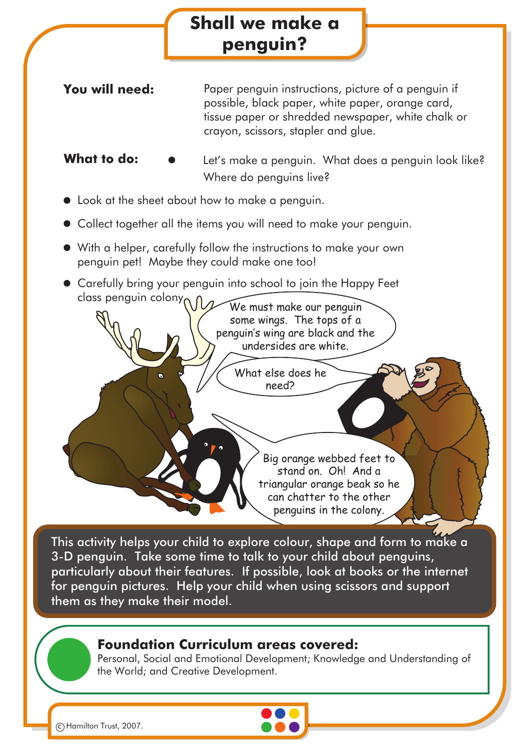| Shall we make a                                                                                                                        |                                                                                                                                                                                                      |
|----------------------------------------------------------------------------------------------------------------------------------------|------------------------------------------------------------------------------------------------------------------------------------------------------------------------------------------------------|
|                                                                                                                                        | penguin?                                                                                                                                                                                             |
| You will need:                                                                                                                         | Paper penguin instructions, picture of a penguin if<br>possible, black paper, white paper, orange card,<br>tissue paper or shredded newspaper, white chalk or<br>crayon, scissors, stapler and glue. |
| What to do:                                                                                                                            | Let's make a penguin. What does a penguin look like?<br>Where do penguins live?                                                                                                                      |
| Look at the sheet about how to make a penguin.                                                                                         |                                                                                                                                                                                                      |
| Collect together all the items you will need to make your penguin.                                                                     |                                                                                                                                                                                                      |
| $\blacktriangleright$ With a helper, carefully follow the instructions to make your own<br>penguin pet! Maybe they could make one too! |                                                                                                                                                                                                      |
| class penguin colony                                                                                                                   | Carefully bring your penguin into school to join the Happy Feet<br>We must make our penguin<br>some wings. The tops of a<br>penguin's wing are black and the<br>undersides are white.                |
| $\bullet$                                                                                                                              | What else does he<br>need?<br>Big orange webbed feet to<br>stand on. Oh! And a<br>triangular orange beak so he                                                                                       |

This activity helps your child to explore colour, shape and form to make a 3-D penguin. Take some time to talk to your child about penguins, particularly about their features. If possible, look at books or the internet for penguin pictures. Help your child when using scissors and support them as they make their model.

## **Foundation Curriculum areas covered:**

Personal, Social and Emotional Development; Knowledge and Understanding of the World; and Creative Development.

can chatter to the other penguins in the colony.